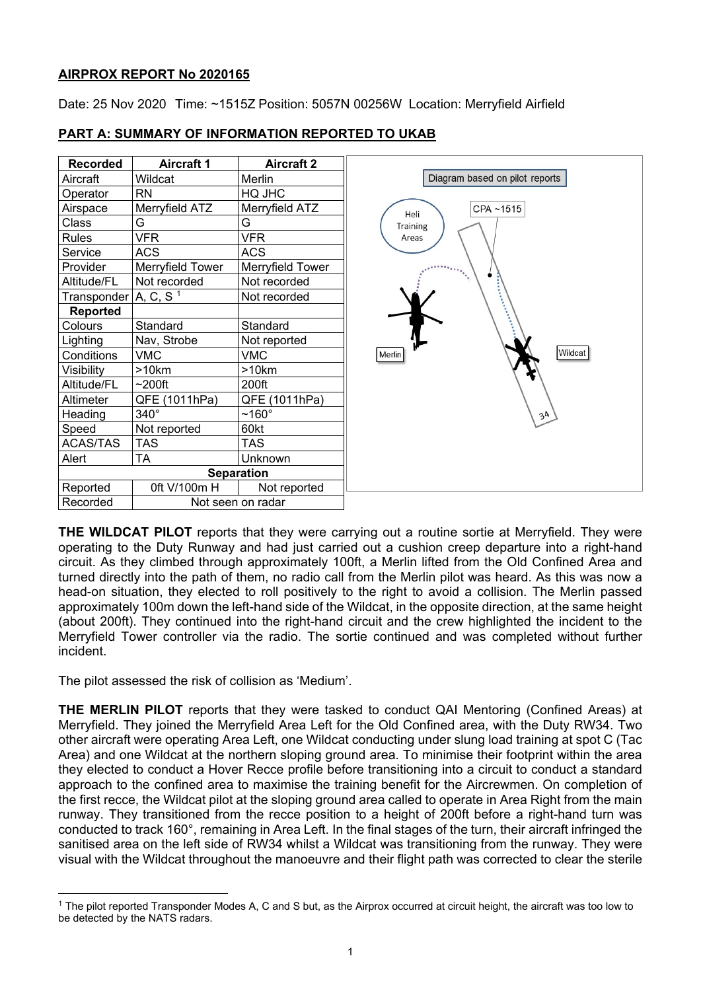# **AIRPROX REPORT No 2020165**

Date: 25 Nov 2020 Time: ~1515Z Position: 5057N 00256W Location: Merryfield Airfield

| <b>Recorded</b>         | <b>Aircraft 1</b> | <b>Aircraft 2</b> |  |
|-------------------------|-------------------|-------------------|--|
| Aircraft                | Wildcat           | Merlin            |  |
| Operator                | <b>RN</b>         | HQ JHC            |  |
| Airspace                | Merryfield ATZ    | Merryfield ATZ    |  |
| Class                   | G                 | G                 |  |
| <b>Rules</b>            | <b>VFR</b>        | <b>VFR</b>        |  |
| Service                 | <b>ACS</b>        | <b>ACS</b>        |  |
| Provider                | Merryfield Tower  | Merryfield Tower  |  |
| Altitude/FL             | Not recorded      | Not recorded      |  |
| Transponder $A, C, S-1$ |                   | Not recorded      |  |
| Reported                |                   |                   |  |
| Colours                 | Standard          | Standard          |  |
| Lighting                | Nav, Strobe       | Not reported      |  |
| Conditions              | <b>VMC</b>        | <b>VMC</b>        |  |
| Visibility              | $>10$ km          | >10km             |  |
| Altitude/FL             | $~200$ ft         | 200ft             |  |
| Altimeter               | QFE (1011hPa)     | QFE (1011hPa)     |  |
| Heading                 | $340^\circ$       | $~160^\circ$      |  |
| Speed                   | Not reported      | 60kt              |  |
| <b>ACAS/TAS</b>         | <b>TAS</b>        | TAS               |  |
| Alert                   | <b>TA</b>         | <b>Unknown</b>    |  |
| <b>Separation</b>       |                   |                   |  |
| Reported                | 0ft V/100m H      | Not reported      |  |
| Recorded                | Not seen on radar |                   |  |

# **PART A: SUMMARY OF INFORMATION REPORTED TO UKAB**

**THE WILDCAT PILOT** reports that they were carrying out a routine sortie at Merryfield. They were operating to the Duty Runway and had just carried out a cushion creep departure into a right-hand circuit. As they climbed through approximately 100ft, a Merlin lifted from the Old Confined Area and turned directly into the path of them, no radio call from the Merlin pilot was heard. As this was now a head-on situation, they elected to roll positively to the right to avoid a collision. The Merlin passed approximately 100m down the left-hand side of the Wildcat, in the opposite direction, at the same height (about 200ft). They continued into the right-hand circuit and the crew highlighted the incident to the Merryfield Tower controller via the radio. The sortie continued and was completed without further incident.

The pilot assessed the risk of collision as 'Medium'.

**THE MERLIN PILOT** reports that they were tasked to conduct QAI Mentoring (Confined Areas) at Merryfield. They joined the Merryfield Area Left for the Old Confined area, with the Duty RW34. Two other aircraft were operating Area Left, one Wildcat conducting under slung load training at spot C (Tac Area) and one Wildcat at the northern sloping ground area. To minimise their footprint within the area they elected to conduct a Hover Recce profile before transitioning into a circuit to conduct a standard approach to the confined area to maximise the training benefit for the Aircrewmen. On completion of the first recce, the Wildcat pilot at the sloping ground area called to operate in Area Right from the main runway. They transitioned from the recce position to a height of 200ft before a right-hand turn was conducted to track 160°, remaining in Area Left. In the final stages of the turn, their aircraft infringed the sanitised area on the left side of RW34 whilst a Wildcat was transitioning from the runway. They were visual with the Wildcat throughout the manoeuvre and their flight path was corrected to clear the sterile

<span id="page-0-0"></span><sup>1</sup> The pilot reported Transponder Modes A, C and S but, as the Airprox occurred at circuit height, the aircraft was too low to be detected by the NATS radars.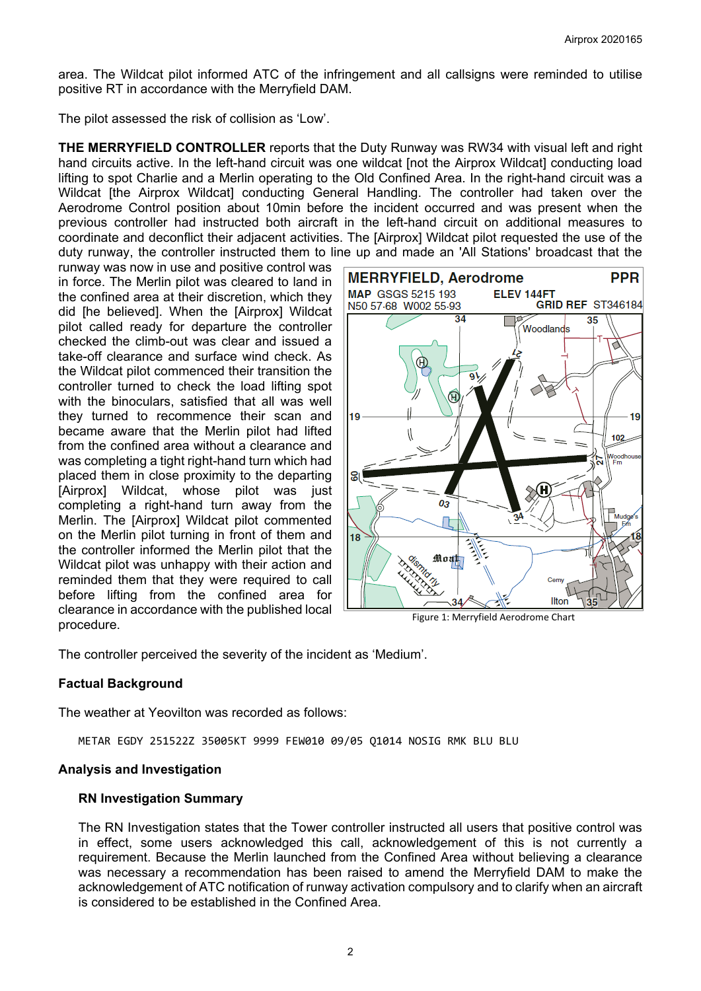area. The Wildcat pilot informed ATC of the infringement and all callsigns were reminded to utilise positive RT in accordance with the Merryfield DAM.

The pilot assessed the risk of collision as 'Low'.

**THE MERRYFIELD CONTROLLER** reports that the Duty Runway was RW34 with visual left and right hand circuits active. In the left-hand circuit was one wildcat [not the Airprox Wildcat] conducting load lifting to spot Charlie and a Merlin operating to the Old Confined Area. In the right-hand circuit was a Wildcat [the Airprox Wildcat] conducting General Handling. The controller had taken over the Aerodrome Control position about 10min before the incident occurred and was present when the previous controller had instructed both aircraft in the left-hand circuit on additional measures to coordinate and deconflict their adjacent activities. The [Airprox] Wildcat pilot requested the use of the duty runway, the controller instructed them to line up and made an 'All Stations' broadcast that the

runway was now in use and positive control was in force. The Merlin pilot was cleared to land in the confined area at their discretion, which they did [he believed]. When the [Airprox] Wildcat pilot called ready for departure the controller checked the climb-out was clear and issued a take-off clearance and surface wind check. As the Wildcat pilot commenced their transition the controller turned to check the load lifting spot with the binoculars, satisfied that all was well they turned to recommence their scan and became aware that the Merlin pilot had lifted from the confined area without a clearance and was completing a tight right-hand turn which had placed them in close proximity to the departing [Airprox] Wildcat, whose pilot was just completing a right-hand turn away from the Merlin. The [Airprox] Wildcat pilot commented on the Merlin pilot turning in front of them and the controller informed the Merlin pilot that the Wildcat pilot was unhappy with their action and reminded them that they were required to call before lifting from the confined area for clearance in accordance with the published local procedure.



Figure 1: Merryfield Aerodrome Chart

The controller perceived the severity of the incident as 'Medium'.

### **Factual Background**

The weather at Yeovilton was recorded as follows:

METAR EGDY 251522Z 35005KT 9999 FEW010 09/05 Q1014 NOSIG RMK BLU BLU

#### **Analysis and Investigation**

#### **RN Investigation Summary**

The RN Investigation states that the Tower controller instructed all users that positive control was in effect, some users acknowledged this call, acknowledgement of this is not currently a requirement. Because the Merlin launched from the Confined Area without believing a clearance was necessary a recommendation has been raised to amend the Merryfield DAM to make the acknowledgement of ATC notification of runway activation compulsory and to clarify when an aircraft is considered to be established in the Confined Area.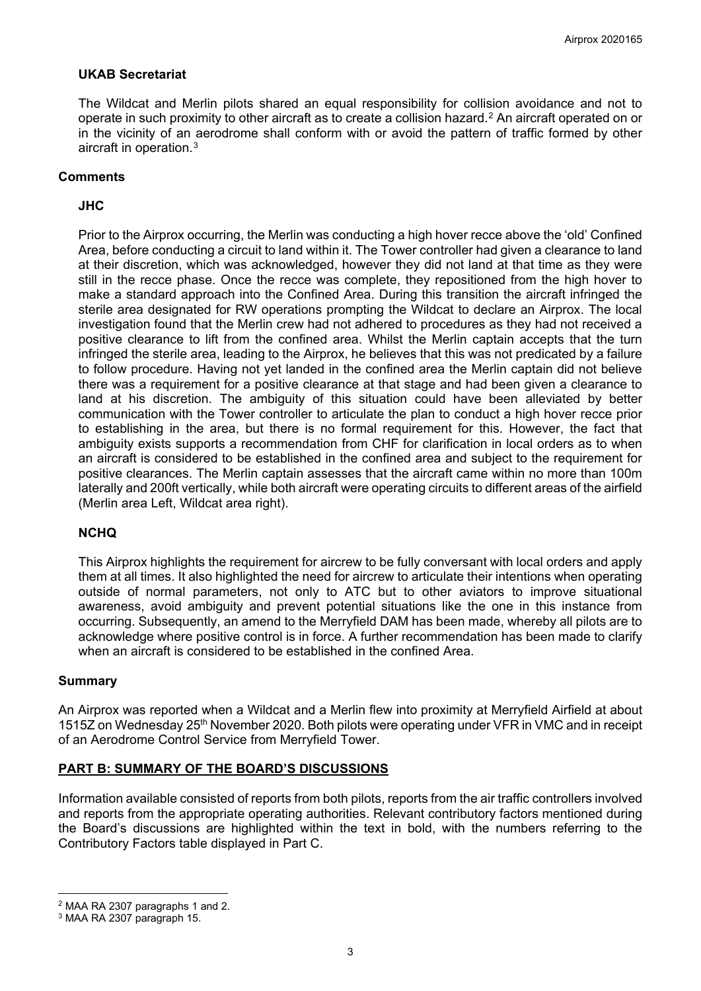### **UKAB Secretariat**

The Wildcat and Merlin pilots shared an equal responsibility for collision avoidance and not to operate in such proximity to other aircraft as to create a collision hazard.[2](#page-2-0) An aircraft operated on or in the vicinity of an aerodrome shall conform with or avoid the pattern of traffic formed by other aircraft in operation.[3](#page-2-1)

### **Comments**

### **JHC**

Prior to the Airprox occurring, the Merlin was conducting a high hover recce above the 'old' Confined Area, before conducting a circuit to land within it. The Tower controller had given a clearance to land at their discretion, which was acknowledged, however they did not land at that time as they were still in the recce phase. Once the recce was complete, they repositioned from the high hover to make a standard approach into the Confined Area. During this transition the aircraft infringed the sterile area designated for RW operations prompting the Wildcat to declare an Airprox. The local investigation found that the Merlin crew had not adhered to procedures as they had not received a positive clearance to lift from the confined area. Whilst the Merlin captain accepts that the turn infringed the sterile area, leading to the Airprox, he believes that this was not predicated by a failure to follow procedure. Having not yet landed in the confined area the Merlin captain did not believe there was a requirement for a positive clearance at that stage and had been given a clearance to land at his discretion. The ambiguity of this situation could have been alleviated by better communication with the Tower controller to articulate the plan to conduct a high hover recce prior to establishing in the area, but there is no formal requirement for this. However, the fact that ambiguity exists supports a recommendation from CHF for clarification in local orders as to when an aircraft is considered to be established in the confined area and subject to the requirement for positive clearances. The Merlin captain assesses that the aircraft came within no more than 100m laterally and 200ft vertically, while both aircraft were operating circuits to different areas of the airfield (Merlin area Left, Wildcat area right).

### **NCHQ**

This Airprox highlights the requirement for aircrew to be fully conversant with local orders and apply them at all times. It also highlighted the need for aircrew to articulate their intentions when operating outside of normal parameters, not only to ATC but to other aviators to improve situational awareness, avoid ambiguity and prevent potential situations like the one in this instance from occurring. Subsequently, an amend to the Merryfield DAM has been made, whereby all pilots are to acknowledge where positive control is in force. A further recommendation has been made to clarify when an aircraft is considered to be established in the confined Area.

#### **Summary**

An Airprox was reported when a Wildcat and a Merlin flew into proximity at Merryfield Airfield at about 1515Z on Wednesday 25<sup>th</sup> November 2020. Both pilots were operating under VFR in VMC and in receipt of an Aerodrome Control Service from Merryfield Tower.

### **PART B: SUMMARY OF THE BOARD'S DISCUSSIONS**

Information available consisted of reports from both pilots, reports from the air traffic controllers involved and reports from the appropriate operating authorities. Relevant contributory factors mentioned during the Board's discussions are highlighted within the text in bold, with the numbers referring to the Contributory Factors table displayed in Part C.

<span id="page-2-0"></span><sup>2</sup> MAA RA 2307 paragraphs 1 and 2.

<span id="page-2-1"></span><sup>3</sup> MAA RA 2307 paragraph 15.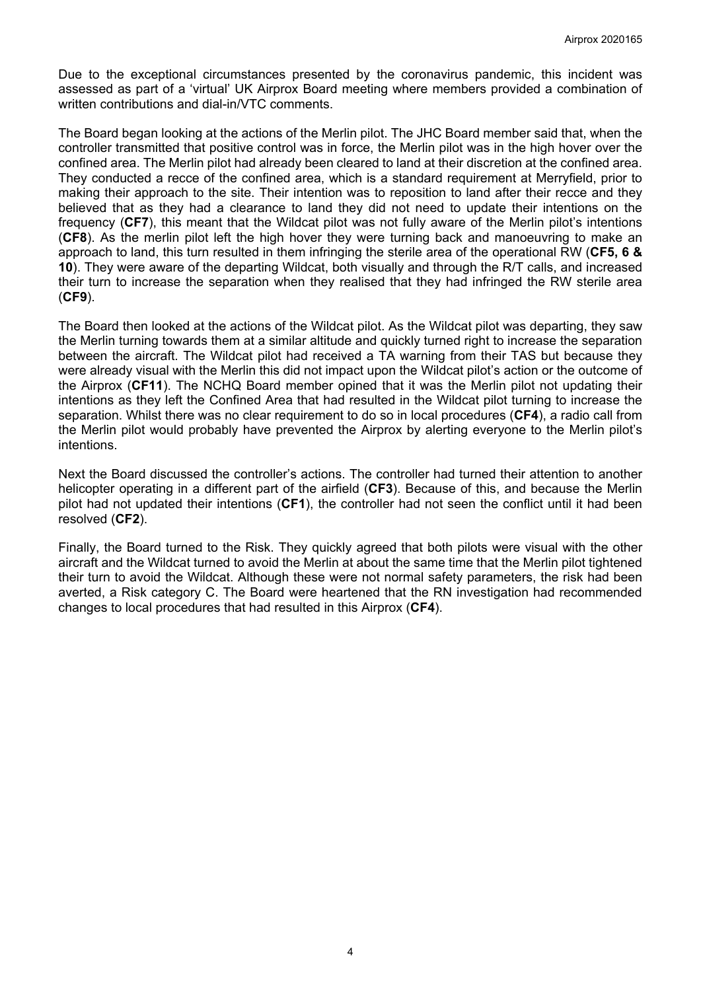Due to the exceptional circumstances presented by the coronavirus pandemic, this incident was assessed as part of a 'virtual' UK Airprox Board meeting where members provided a combination of written contributions and dial-in/VTC comments.

The Board began looking at the actions of the Merlin pilot. The JHC Board member said that, when the controller transmitted that positive control was in force, the Merlin pilot was in the high hover over the confined area. The Merlin pilot had already been cleared to land at their discretion at the confined area. They conducted a recce of the confined area, which is a standard requirement at Merryfield, prior to making their approach to the site. Their intention was to reposition to land after their recce and they believed that as they had a clearance to land they did not need to update their intentions on the frequency (**CF7**), this meant that the Wildcat pilot was not fully aware of the Merlin pilot's intentions (**CF8**). As the merlin pilot left the high hover they were turning back and manoeuvring to make an approach to land, this turn resulted in them infringing the sterile area of the operational RW (**CF5, 6 & 10**). They were aware of the departing Wildcat, both visually and through the R/T calls, and increased their turn to increase the separation when they realised that they had infringed the RW sterile area (**CF9**).

The Board then looked at the actions of the Wildcat pilot. As the Wildcat pilot was departing, they saw the Merlin turning towards them at a similar altitude and quickly turned right to increase the separation between the aircraft. The Wildcat pilot had received a TA warning from their TAS but because they were already visual with the Merlin this did not impact upon the Wildcat pilot's action or the outcome of the Airprox (**CF11**). The NCHQ Board member opined that it was the Merlin pilot not updating their intentions as they left the Confined Area that had resulted in the Wildcat pilot turning to increase the separation. Whilst there was no clear requirement to do so in local procedures (**CF4**), a radio call from the Merlin pilot would probably have prevented the Airprox by alerting everyone to the Merlin pilot's intentions.

Next the Board discussed the controller's actions. The controller had turned their attention to another helicopter operating in a different part of the airfield (**CF3**). Because of this, and because the Merlin pilot had not updated their intentions (**CF1**), the controller had not seen the conflict until it had been resolved (**CF2**).

Finally, the Board turned to the Risk. They quickly agreed that both pilots were visual with the other aircraft and the Wildcat turned to avoid the Merlin at about the same time that the Merlin pilot tightened their turn to avoid the Wildcat. Although these were not normal safety parameters, the risk had been averted, a Risk category C. The Board were heartened that the RN investigation had recommended changes to local procedures that had resulted in this Airprox (**CF4**).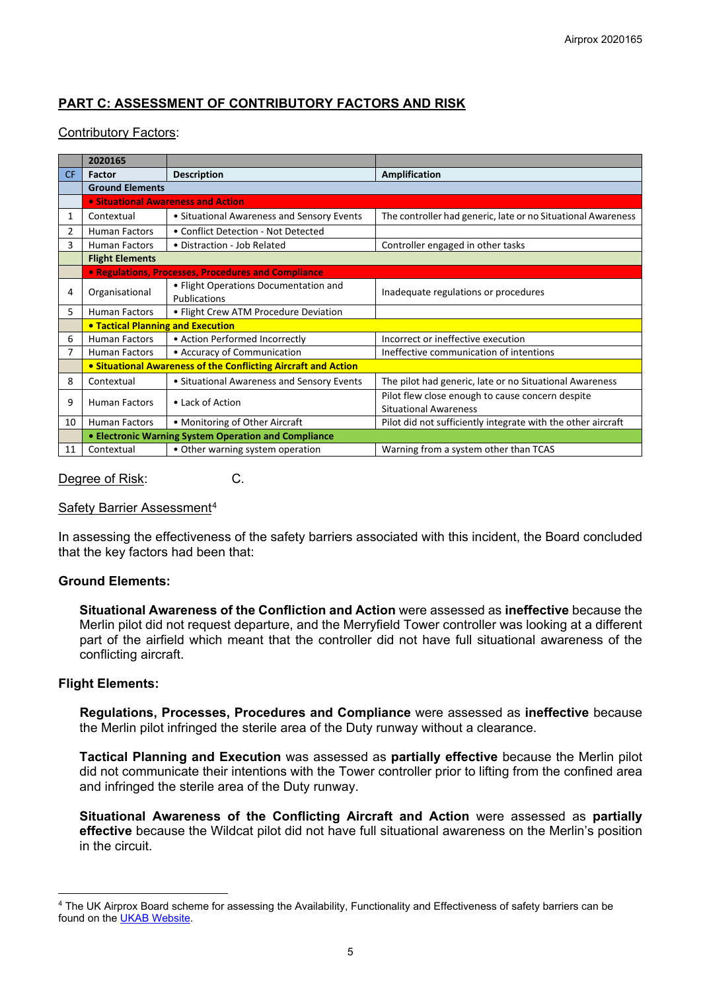# **PART C: ASSESSMENT OF CONTRIBUTORY FACTORS AND RISK**

### Contributory Factors:

|           | 2020165                                                        |                                            |                                                              |  |  |  |
|-----------|----------------------------------------------------------------|--------------------------------------------|--------------------------------------------------------------|--|--|--|
| <b>CF</b> | Factor                                                         | <b>Description</b>                         | <b>Amplification</b>                                         |  |  |  |
|           | <b>Ground Elements</b>                                         |                                            |                                                              |  |  |  |
|           | • Situational Awareness and Action                             |                                            |                                                              |  |  |  |
| 1         | Contextual                                                     | • Situational Awareness and Sensory Events | The controller had generic, late or no Situational Awareness |  |  |  |
| 2         | Human Factors                                                  | • Conflict Detection - Not Detected        |                                                              |  |  |  |
| 3         | <b>Human Factors</b>                                           | • Distraction - Job Related                | Controller engaged in other tasks                            |  |  |  |
|           | <b>Flight Elements</b>                                         |                                            |                                                              |  |  |  |
|           | • Regulations, Processes, Procedures and Compliance            |                                            |                                                              |  |  |  |
| 4         | Organisational                                                 | • Flight Operations Documentation and      | Inadequate regulations or procedures                         |  |  |  |
|           |                                                                | Publications                               |                                                              |  |  |  |
| 5.        | <b>Human Factors</b>                                           | • Flight Crew ATM Procedure Deviation      |                                                              |  |  |  |
|           | <b>• Tactical Planning and Execution</b>                       |                                            |                                                              |  |  |  |
| 6         | <b>Human Factors</b>                                           | • Action Performed Incorrectly             | Incorrect or ineffective execution                           |  |  |  |
|           | <b>Human Factors</b>                                           | • Accuracy of Communication                | Ineffective communication of intentions                      |  |  |  |
|           | • Situational Awareness of the Conflicting Aircraft and Action |                                            |                                                              |  |  |  |
| 8         | Contextual                                                     | • Situational Awareness and Sensory Events | The pilot had generic, late or no Situational Awareness      |  |  |  |
| 9         | <b>Human Factors</b>                                           | • Lack of Action                           | Pilot flew close enough to cause concern despite             |  |  |  |
|           |                                                                |                                            | <b>Situational Awareness</b>                                 |  |  |  |
| 10        | Human Factors                                                  | • Monitoring of Other Aircraft             | Pilot did not sufficiently integrate with the other aircraft |  |  |  |
|           | • Electronic Warning System Operation and Compliance           |                                            |                                                              |  |  |  |
| 11        | Contextual                                                     | • Other warning system operation           | Warning from a system other than TCAS                        |  |  |  |

#### Degree of Risk: C.

#### Safety Barrier Assessment[4](#page-4-0)

In assessing the effectiveness of the safety barriers associated with this incident, the Board concluded that the key factors had been that:

#### **Ground Elements:**

**Situational Awareness of the Confliction and Action** were assessed as **ineffective** because the Merlin pilot did not request departure, and the Merryfield Tower controller was looking at a different part of the airfield which meant that the controller did not have full situational awareness of the conflicting aircraft.

#### **Flight Elements:**

**Regulations, Processes, Procedures and Compliance** were assessed as **ineffective** because the Merlin pilot infringed the sterile area of the Duty runway without a clearance.

**Tactical Planning and Execution** was assessed as **partially effective** because the Merlin pilot did not communicate their intentions with the Tower controller prior to lifting from the confined area and infringed the sterile area of the Duty runway.

**Situational Awareness of the Conflicting Aircraft and Action** were assessed as **partially effective** because the Wildcat pilot did not have full situational awareness on the Merlin's position in the circuit.

<span id="page-4-0"></span><sup>4</sup> The UK Airprox Board scheme for assessing the Availability, Functionality and Effectiveness of safety barriers can be found on the [UKAB Website.](http://www.airproxboard.org.uk/Learn-more/Airprox-Barrier-Assessment/)